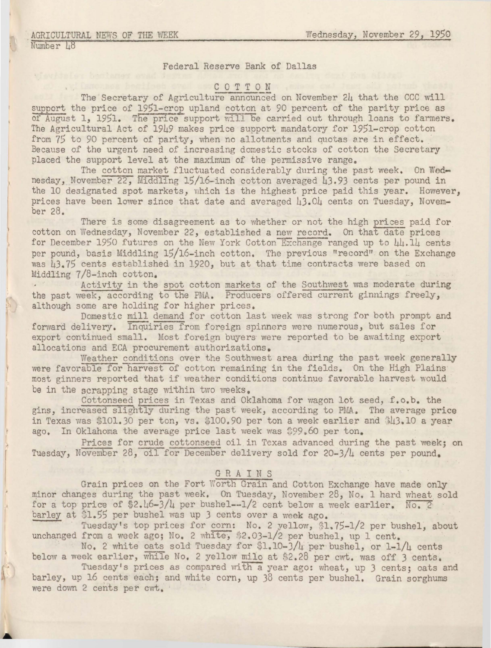# Federal Reserve Bank of Dallas

## C 0 T T 0 N

The Secretary of Agriculture announced on November 24 that the CCC will support the price of 1951-crop upland cotton at 90 percent of the parity price as of August 1, 1951. The price support will be carried out through loans to farmers. The Agricultural Act of 1949 makes price support mandatory for 1951-crop cotton from 75 to 90 percent of parity, when no allotments and quotas are in effect.<br>Because of the urgent need of increasing domestic stocks of cotton the Secretary placed the support level at the maximum of the permissive range.

The cotton market fluctuated considerably during the past week. On Wednesday, November 22, Middling 15/16-inch cotton averaged 43.93 cents per pound in the 10 designated spot markets, which is the highest price paid this year. However, prices have been lower since that date and averaged 43.04 cents on Tuesday, November 28.

There is some disagreement as to whether or not the high prices paid for cotton on Wednesday, November 22, established a new record. On that date prices for December 1950 futures on the New York Cotton Exchange ranged up to 44.14 cents per pound, basis Middling 15/16-inch cotton. The previous "record" on the Exchange was 43.75 cents established in 1920, but at that time contracts were based on Middling 7/8-inch cotton.

Activity in the spot cotton markets of the Southwest was moderate during the past week, according to the PMA. Producers offered current ginnings freely, although some are holding for higher prices.

Domestic mill demand for cotton last week was strong for both prompt and forward delivery. Inquiries from foreign spinners were numerous, but sales for export continued small. Most foreign buyers were reported to be awaiting export allocations and ECA procurement authorizations.

Weather conditions over the Southwest area during the past week generally were favorable for harvest of cotton remaining in the fields. On the High Plains most ginners reported that if weather conditions continue favorable harvest would be in the scrapping stage within two weeks.

Cottonseed prices in Texas and Oklahoma for wagon lot seed, f.o.b. the gins, increased slightly during the past week, according to PMA. The average price in Texas was \$101.30 per ton, vs.  $$100.90$  per ton a week earlier and  $$43.10$  a year ago. In Oklahoma the average price last week was \$99.60 per ton.

Prices for crude cottonseed oil in Texas advanced during the past week; on Tuesday, November 28, oil for December delivery sold for 20-3/4 cents per pound.

## GRAINS

Grain prices on the Fort Worth Grain and Cotton Exchange have made only minor changes during the past week. On Tuesday, November 28, No. 1 hard wheat sold for a top price of  $2.46-3/4$  per bushel--1/2 cent below a week earlier. No. 2 barley at \$1.55 per bushel was up 3 cents over a week ago.

Tuesday's top prices for corn: No. 2 yellow, \$1.75-1/2 per bushel, about unchanged from a week ago; No. 2 white, \$2.03-1/2 per bushel, up 1 cent.

No. 2 white oats sold Tuesday for \$1.10-J/4. per bushel, or 1-1/4 cents below a week earlier, while No. 2 yellow milo at \$2.28 per cwt. was off 3 cents.

Tuesday's prices as compared with a year ago: wheat, up 3 cents; oats and barley, up 16 cents each; and white corn, up 38 cents per bushel. Grain sorghums were down 2 cents per cwt.